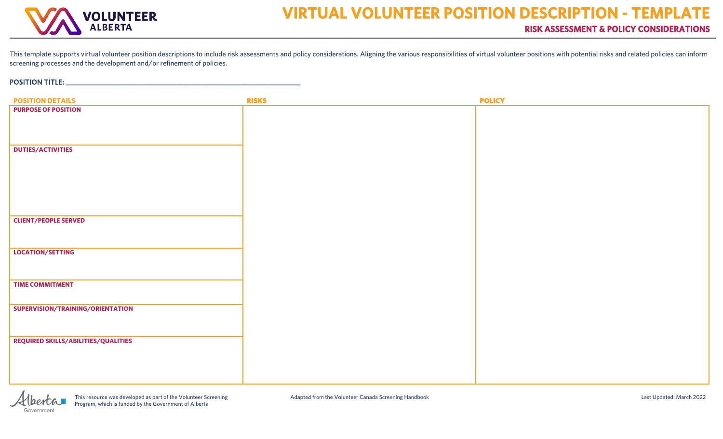

## POSITION TITLE: \_\_\_\_\_\_\_\_\_\_\_\_\_\_\_\_\_\_\_\_\_\_\_\_\_\_\_\_\_\_\_\_\_\_\_\_\_\_\_\_\_\_\_\_\_\_\_\_\_\_\_\_\_\_\_\_\_\_\_\_\_\_\_\_\_\_\_\_\_

| <b>POSITION DETAILS</b>             | <b>RISKS</b> | <b>POLICY</b> |
|-------------------------------------|--------------|---------------|
| <b>PURPOSE OF POSITION</b>          |              |               |
|                                     |              |               |
|                                     |              |               |
|                                     |              |               |
| <b>DUTIES/ACTIVITIES</b>            |              |               |
|                                     |              |               |
|                                     |              |               |
|                                     |              |               |
|                                     |              |               |
|                                     |              |               |
|                                     |              |               |
| <b>CLIENT/PEOPLE SERVED</b>         |              |               |
|                                     |              |               |
|                                     |              |               |
| LOCATION/SETTING                    |              |               |
|                                     |              |               |
|                                     |              |               |
| <b>TIME COMMITMENT</b>              |              |               |
|                                     |              |               |
| SUPERVISION/TRAINING/ORIENTATION    |              |               |
|                                     |              |               |
|                                     |              |               |
| REQUIRED SKILLS/ABILITIES/QUALITIES |              |               |
|                                     |              |               |
|                                     |              |               |
|                                     |              |               |

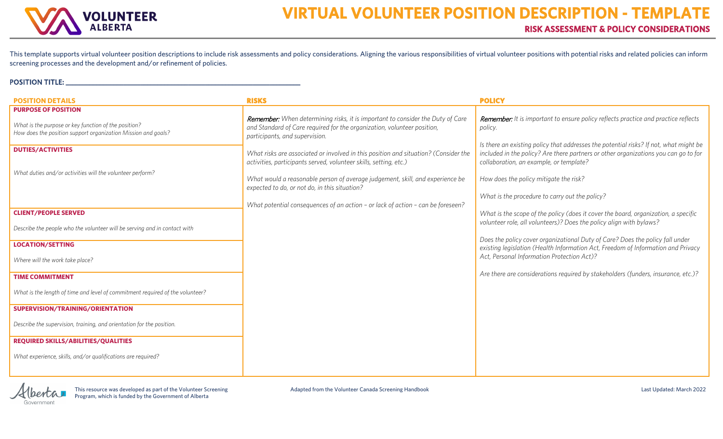

## POSITION TITLE: \_\_\_\_\_\_\_\_\_\_\_\_\_\_\_\_\_\_\_\_\_\_\_\_\_\_\_\_\_\_\_\_\_\_\_\_\_\_\_\_\_\_\_\_\_\_\_\_\_\_\_\_\_\_\_\_\_\_\_\_\_\_\_\_\_\_\_\_\_

| <b>POSITION DETAILS</b>                                                                                               | <b>RISKS</b>                                                                                                                                                                                       | <b>POLICY</b>                                                                                                                                                                                                           |
|-----------------------------------------------------------------------------------------------------------------------|----------------------------------------------------------------------------------------------------------------------------------------------------------------------------------------------------|-------------------------------------------------------------------------------------------------------------------------------------------------------------------------------------------------------------------------|
| <b>PURPOSE OF POSITION</b>                                                                                            |                                                                                                                                                                                                    |                                                                                                                                                                                                                         |
| What is the purpose or key function of the position?<br>How does the position support organization Mission and goals? | <b>Remember:</b> When determining risks, it is important to consider the Duty of Care<br>and Standard of Care required for the organization, volunteer position,<br>participants, and supervision. | <b>Remember:</b> It is important to ensure policy reflects practice and practice reflects<br>policy.                                                                                                                    |
| <b>DUTIES/ACTIVITIES</b>                                                                                              | What risks are associated or involved in this position and situation? (Consider the<br>activities, participants served, volunteer skills, setting, etc.)                                           | Is there an existing policy that addresses the potential risks? If not, what might be<br>included in the policy? Are there partners or other organizations you can go to for<br>collaboration, an example, or template? |
| What duties and/or activities will the volunteer perform?                                                             | What would a reasonable person of average judgement, skill, and experience be<br>expected to do, or not do, in this situation?                                                                     | How does the policy mitigate the risk?                                                                                                                                                                                  |
|                                                                                                                       |                                                                                                                                                                                                    | What is the procedure to carry out the policy?                                                                                                                                                                          |
| <b>CLIENT/PEOPLE SERVED</b>                                                                                           | What potential consequences of an action - or lack of action - can be foreseen?                                                                                                                    | What is the scope of the policy (does it cover the board, organization, a specific                                                                                                                                      |
| Describe the people who the volunteer will be serving and in contact with                                             |                                                                                                                                                                                                    | volunteer role, all volunteers)? Does the policy align with bylaws?                                                                                                                                                     |
| <b>LOCATION/SETTING</b>                                                                                               |                                                                                                                                                                                                    | Does the policy cover organizational Duty of Care? Does the policy fall under                                                                                                                                           |
| Where will the work take place?                                                                                       |                                                                                                                                                                                                    | existing legislation (Health Information Act, Freedom of Information and Privacy<br>Act, Personal Information Protection Act)?                                                                                          |
| <b>TIME COMMITMENT</b>                                                                                                |                                                                                                                                                                                                    | Are there are considerations required by stakeholders (funders, insurance, etc.)?                                                                                                                                       |
| What is the length of time and level of commitment required of the volunteer?                                         |                                                                                                                                                                                                    |                                                                                                                                                                                                                         |
| SUPERVISION/TRAINING/ORIENTATION                                                                                      |                                                                                                                                                                                                    |                                                                                                                                                                                                                         |
| Describe the supervision, training, and orientation for the position.                                                 |                                                                                                                                                                                                    |                                                                                                                                                                                                                         |
| <b>REQUIRED SKILLS/ABILITIES/QUALITIES</b>                                                                            |                                                                                                                                                                                                    |                                                                                                                                                                                                                         |
| What experience, skills, and/or qualifications are required?                                                          |                                                                                                                                                                                                    |                                                                                                                                                                                                                         |

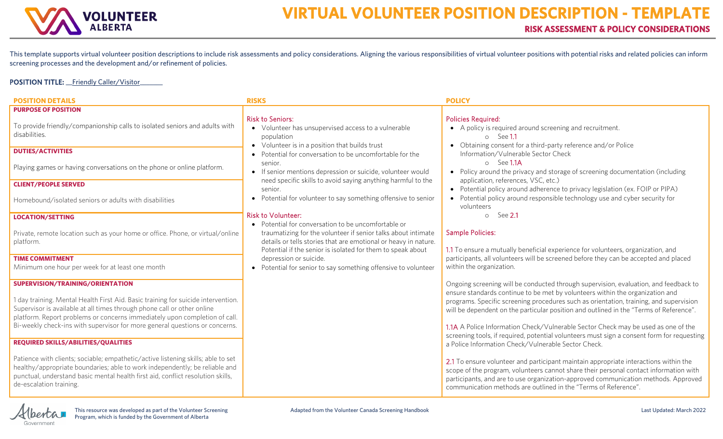

POSITION TITLE: \_\_Friendly Caller/Visitor\_

| <b>POSITION DETAILS</b>                                                                                                                                                                                                                                                                                                                                                                                     | <b>RISKS</b>                                                                                                                                                                                    | <b>POLICY</b>                                                                                                                                                                                                                                                                                                                                                                                                                                                                                                                                                                                       |
|-------------------------------------------------------------------------------------------------------------------------------------------------------------------------------------------------------------------------------------------------------------------------------------------------------------------------------------------------------------------------------------------------------------|-------------------------------------------------------------------------------------------------------------------------------------------------------------------------------------------------|-----------------------------------------------------------------------------------------------------------------------------------------------------------------------------------------------------------------------------------------------------------------------------------------------------------------------------------------------------------------------------------------------------------------------------------------------------------------------------------------------------------------------------------------------------------------------------------------------------|
| <b>PURPOSE OF POSITION</b><br>To provide friendly/companionship calls to isolated seniors and adults with<br>disabilities.                                                                                                                                                                                                                                                                                  | <b>Risk to Seniors:</b><br>• Volunteer has unsupervised access to a vulnerable<br>population<br>• Volunteer is in a position that builds trust                                                  | <b>Policies Required:</b><br>• A policy is required around screening and recruitment.<br>$\circ$ See 1.1<br>• Obtaining consent for a third-party reference and/or Police                                                                                                                                                                                                                                                                                                                                                                                                                           |
| <b>DUTIES/ACTIVITIES</b><br>Playing games or having conversations on the phone or online platform.                                                                                                                                                                                                                                                                                                          | • Potential for conversation to be uncomfortable for the<br>senior.<br>• If senior mentions depression or suicide, volunteer would                                                              | Information/Vulnerable Sector Check<br>o See 1.1A<br>• Policy around the privacy and storage of screening documentation (including                                                                                                                                                                                                                                                                                                                                                                                                                                                                  |
| <b>CLIENT/PEOPLE SERVED</b>                                                                                                                                                                                                                                                                                                                                                                                 | need specific skills to avoid saying anything harmful to the                                                                                                                                    | application, references, VSC, etc.)                                                                                                                                                                                                                                                                                                                                                                                                                                                                                                                                                                 |
| Homebound/isolated seniors or adults with disabilities                                                                                                                                                                                                                                                                                                                                                      | senior.<br>• Potential for volunteer to say something offensive to senior                                                                                                                       | • Potential policy around adherence to privacy legislation (ex. FOIP or PIPA)<br>• Potential policy around responsible technology use and cyber security for<br>volunteers                                                                                                                                                                                                                                                                                                                                                                                                                          |
| <b>LOCATION/SETTING</b>                                                                                                                                                                                                                                                                                                                                                                                     | <b>Risk to Volunteer:</b><br>• Potential for conversation to be uncomfortable or                                                                                                                | $\circ$ See 2.1                                                                                                                                                                                                                                                                                                                                                                                                                                                                                                                                                                                     |
| Private, remote location such as your home or office. Phone, or virtual/online<br>platform.                                                                                                                                                                                                                                                                                                                 | traumatizing for the volunteer if senior talks about intimate<br>details or tells stories that are emotional or heavy in nature.<br>Potential if the senior is isolated for them to speak about | <b>Sample Policies:</b><br>1.1 To ensure a mutually beneficial experience for volunteers, organization, and                                                                                                                                                                                                                                                                                                                                                                                                                                                                                         |
| <b>TIME COMMITMENT</b><br>Minimum one hour per week for at least one month                                                                                                                                                                                                                                                                                                                                  | depression or suicide.<br>• Potential for senior to say something offensive to volunteer                                                                                                        | participants, all volunteers will be screened before they can be accepted and placed<br>within the organization.                                                                                                                                                                                                                                                                                                                                                                                                                                                                                    |
| SUPERVISION/TRAINING/ORIENTATION<br>1 day training. Mental Health First Aid. Basic training for suicide intervention.<br>Supervisor is available at all times through phone call or other online<br>platform. Report problems or concerns immediately upon completion of call.<br>Bi-weekly check-ins with supervisor for more general questions or concerns.<br><b>REQUIRED SKILLS/ABILITIES/QUALITIES</b> |                                                                                                                                                                                                 | Ongoing screening will be conducted through supervision, evaluation, and feedback to<br>ensure standards continue to be met by volunteers within the organization and<br>programs. Specific screening procedures such as orientation, training, and supervision<br>will be dependent on the particular position and outlined in the "Terms of Reference".<br>1.1A A Police Information Check/Vulnerable Sector Check may be used as one of the<br>screening tools, if required, potential volunteers must sign a consent form for requesting<br>a Police Information Check/Vulnerable Sector Check. |
| Patience with clients; sociable; empathetic/active listening skills; able to set<br>healthy/appropriate boundaries; able to work independently; be reliable and<br>punctual, understand basic mental health first aid, conflict resolution skills,<br>de-escalation training.                                                                                                                               |                                                                                                                                                                                                 | 2.1 To ensure volunteer and participant maintain appropriate interactions within the<br>scope of the program, volunteers cannot share their personal contact information with<br>participants, and are to use organization-approved communication methods. Approved<br>communication methods are outlined in the "Terms of Reference".                                                                                                                                                                                                                                                              |

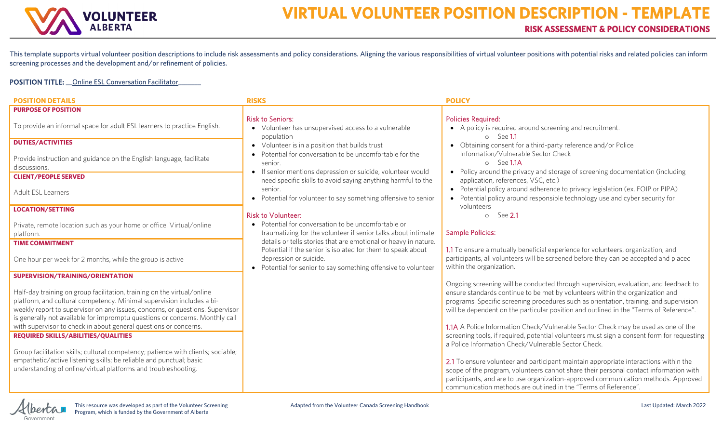

## POSITION TITLE: \_\_ Online ESL Conversation Facilitator\_

| <b>POSITION DETAILS</b>                                                                                                                                | <b>RISKS</b>                                                                                                                   | <b>POLICY</b>                                                                                                                                                                    |
|--------------------------------------------------------------------------------------------------------------------------------------------------------|--------------------------------------------------------------------------------------------------------------------------------|----------------------------------------------------------------------------------------------------------------------------------------------------------------------------------|
| <b>PURPOSE OF POSITION</b>                                                                                                                             | <b>Risk to Seniors:</b>                                                                                                        | <b>Policies Required:</b>                                                                                                                                                        |
| To provide an informal space for adult ESL learners to practice English.                                                                               | • Volunteer has unsupervised access to a vulnerable                                                                            | • A policy is required around screening and recruitment.                                                                                                                         |
| <b>DUTIES/ACTIVITIES</b>                                                                                                                               | population<br>• Volunteer is in a position that builds trust                                                                   | $\circ$ See 1.1<br>• Obtaining consent for a third-party reference and/or Police                                                                                                 |
| Provide instruction and guidance on the English language, facilitate                                                                                   | • Potential for conversation to be uncomfortable for the<br>senior.                                                            | Information/Vulnerable Sector Check<br>o See 1.1A                                                                                                                                |
| discussions.<br><b>CLIENT/PEOPLE SERVED</b>                                                                                                            | • If senior mentions depression or suicide, volunteer would<br>need specific skills to avoid saying anything harmful to the    | • Policy around the privacy and storage of screening documentation (including<br>application, references, VSC, etc.)                                                             |
| Adult ESL Learners                                                                                                                                     | senior.<br>• Potential for volunteer to say something offensive to senior                                                      | • Potential policy around adherence to privacy legislation (ex. FOIP or PIPA)<br>• Potential policy around responsible technology use and cyber security for                     |
| <b>LOCATION/SETTING</b>                                                                                                                                | <b>Risk to Volunteer:</b>                                                                                                      | volunteers<br>See <b>2.1</b><br>$\circ$                                                                                                                                          |
| Private, remote location such as your home or office. Virtual/online<br>platform.                                                                      | • Potential for conversation to be uncomfortable or<br>traumatizing for the volunteer if senior talks about intimate           | <b>Sample Policies:</b>                                                                                                                                                          |
| <b>TIME COMMITMENT</b>                                                                                                                                 | details or tells stories that are emotional or heavy in nature.<br>Potential if the senior is isolated for them to speak about | 1.1 To ensure a mutually beneficial experience for volunteers, organization, and                                                                                                 |
| One hour per week for 2 months, while the group is active                                                                                              | depression or suicide.<br>• Potential for senior to say something offensive to volunteer                                       | participants, all volunteers will be screened before they can be accepted and placed<br>within the organization.                                                                 |
| SUPERVISION/TRAINING/ORIENTATION                                                                                                                       |                                                                                                                                |                                                                                                                                                                                  |
| Half-day training on group facilitation, training on the virtual/online                                                                                |                                                                                                                                | Ongoing screening will be conducted through supervision, evaluation, and feedback to<br>ensure standards continue to be met by volunteers within the organization and            |
| platform, and cultural competency. Minimal supervision includes a bi-<br>weekly report to supervisor on any issues, concerns, or questions. Supervisor |                                                                                                                                | programs. Specific screening procedures such as orientation, training, and supervision<br>will be dependent on the particular position and outlined in the "Terms of Reference". |
| is generally not available for impromptu questions or concerns. Monthly call<br>with supervisor to check in about general questions or concerns.       |                                                                                                                                | 1.1A A Police Information Check/Vulnerable Sector Check may be used as one of the                                                                                                |
| <b>REQUIRED SKILLS/ABILITIES/QUALITIES</b>                                                                                                             |                                                                                                                                | screening tools, if required, potential volunteers must sign a consent form for requesting<br>a Police Information Check/Vulnerable Sector Check.                                |
| Group facilitation skills; cultural competency; patience with clients; sociable;                                                                       |                                                                                                                                |                                                                                                                                                                                  |
| empathetic/active listening skills; be reliable and punctual; basic                                                                                    |                                                                                                                                | 2.1 To ensure volunteer and participant maintain appropriate interactions within the                                                                                             |
| understanding of online/virtual platforms and troubleshooting.                                                                                         |                                                                                                                                | scope of the program, volunteers cannot share their personal contact information with<br>participants, and are to use organization-approved communication methods. Approved      |
|                                                                                                                                                        |                                                                                                                                | communication methods are outlined in the "Terms of Reference".                                                                                                                  |